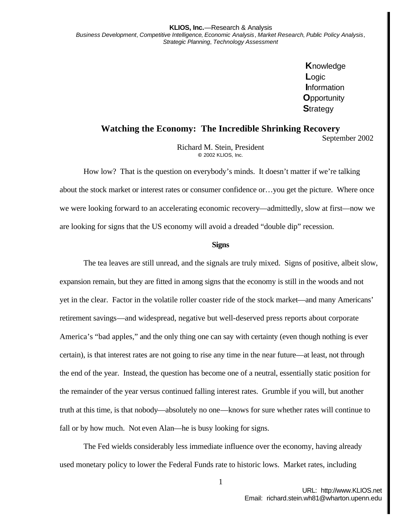**K**nowledge **L**ogic **I**nformation **O**pportunity **S**trategy

## **Watching the Economy: The Incredible Shrinking Recovery**

September 2002

Richard M. Stein, President **©** 2002 KLIOS, Inc.

How low? That is the question on everybody's minds. It doesn't matter if we're talking about the stock market or interest rates or consumer confidence or…you get the picture. Where once we were looking forward to an accelerating economic recovery—admittedly, slow at first—now we are looking for signs that the US economy will avoid a dreaded "double dip" recession.

## **Signs**

The tea leaves are still unread, and the signals are truly mixed. Signs of positive, albeit slow, expansion remain, but they are fitted in among signs that the economy is still in the woods and not yet in the clear. Factor in the volatile roller coaster ride of the stock market—and many Americans' retirement savings—and widespread, negative but well-deserved press reports about corporate America's "bad apples," and the only thing one can say with certainty (even though nothing is ever certain), is that interest rates are not going to rise any time in the near future—at least, not through the end of the year. Instead, the question has become one of a neutral, essentially static position for the remainder of the year versus continued falling interest rates. Grumble if you will, but another truth at this time, is that nobody—absolutely no one—knows for sure whether rates will continue to fall or by how much. Not even Alan—he is busy looking for signs.

The Fed wields considerably less immediate influence over the economy, having already used monetary policy to lower the Federal Funds rate to historic lows. Market rates, including

1